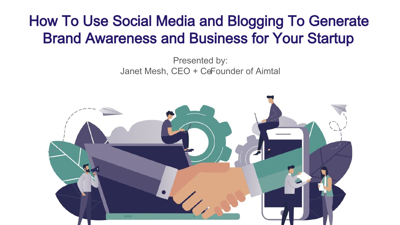### How To Use Social Media and Blogging To Generate Brand Awareness and Business for Your Startup

Presented by: Janet Mesh, CEO + CeFounder of Aimtal

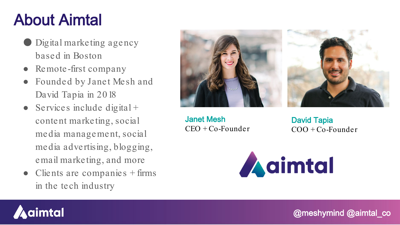## About Aimtal

- **Digital marketing agency** based in Boston
- Remote-first company
- Founded by Janet Mesh and David Tapia in 2018
- Services include digital + content marketing, social media management, social media advertising, blogging, email marketing, and more
- $\bullet$  Clients are companies  $+$  firms in the tech industry



Janet Mesh  $CEO + Co-Fourder$ 

David Tapia  $COO + Co-Fourder$ 



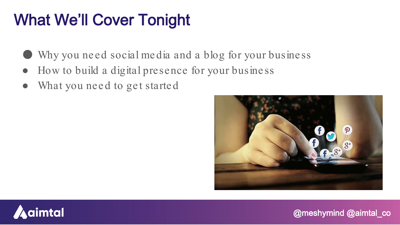## What We'll Cover Tonight

- Why you need social media and a blog for your business
- How to build a digital presence for your business
- What you need to get started



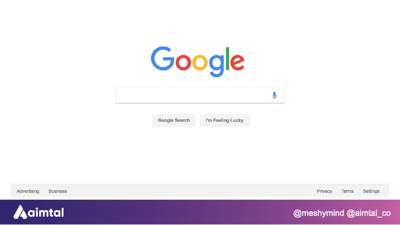

Google Search

I'm Feeling Lucky

Advertising **Business** 

Settings Privacy Terms

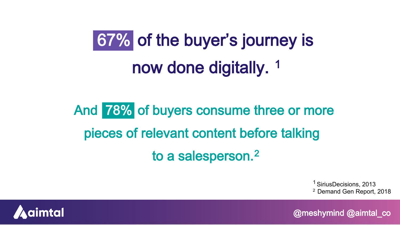# 67% of the buyer's journey is now done digitally.<sup>1</sup>

And 78% of buyers consume three or more pieces of relevant content before talking to a salesperson.2

> <sup>1</sup> SiriusDecisions, 2013 2 Demand Gen Report, 2018

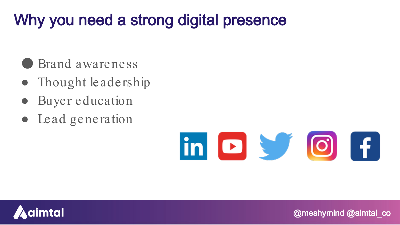## Why you need a strong digital presence

- Brand awareness
- Thought leadership
- Buyer education
- Lead generation



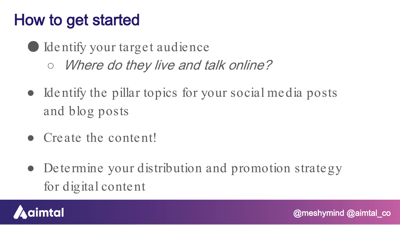## How to get started

● Identify your target audience ○ *Where do they live and talk online?* 

- Identify the pillar topics for your social media posts and blog posts
- Create the content!
- Determine your distribution and promotion strategy for digital content

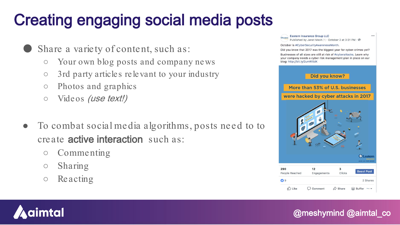## Creating engaging social media posts

Share a variety of content, such as:

- Your own blog posts and company news
- 3rd party articles relevant to your industry
- Photos and graphics
- Videos (use text!)
- To combat social media algorithms, posts need to to create active interaction such as:
	- Commenting
	- Sharing
	- Reacting

**Eastern Insurance Group LLC**  $\cdots$ Published by Janet Mesh [?] · October 2 at 3:31 PM · @ October is #CyberSecurityAwarenessMonth. Did you know that 2017 was the biggest year for cyber-crimes yet? Businesses of all sizes are still at risk of #cyberattacks. Learn why your company needs a cyber risk management plan in place on our blog: http://bit.ly/2umWXdK Did you know? More than 53% of U.S. businesses were hacked by cyber attacks in 2017 **ZEastern UNIVERSITY** 290  $12$  $\overline{\mathbf{3}}$ **Boost Post** Clicks People Reached Engagements  $O9$ 2 Shares n<sup>1</sup> Like  $\bigcap$  Comment  $\triangle$  Share **Buffer** 

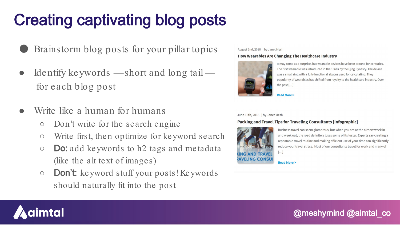## Creating captivating blog posts

- Brainstorm blog posts for your pillar topics
- Identify keywords —short and long tail for each blog post
- Write like a human for humans
	- Don't write for the search engine
	- Write first, then optimize for keyword search
	- $\circ$  **Do:** add keywords to h2 tags and metadata (like the alt text of images)
	- Don't: keyword stuff your posts! Keywords should naturally fit into the post

#### August 2nd, 2018 | by Janet Mesh

### How Wearables Are Changing The Healthcare Industry



It may come as a surprise, but wearable devices have been around for centuries. The first wearable was introduced in the 1660s by the Qing Dynasty. The device was a small ring with a fully functional abacus used for calculating. They popularity of wearables has shifted from royalty to the healthcare industry. Over the past [...]



#### June 18th, 2018 | by Janet Mesh

### Packing and Travel Tips for Traveling Consultants [Infographic]



Business travel can seem glamorous, but when you are at the airport week in and week out, the road definitely loses some of its luster. Experts say creating a repeatable travel routine and making efficient use of your time can significantly reduce your travel stress. Most of our consultants travel for work and many of

 $[ \ldots ]$ 

**Read More >** 

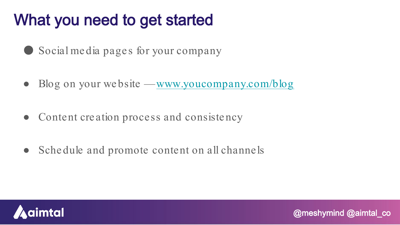## What you need to get started

- Social media pages for your company
- Blog on your website —[www.youcompany.com/blog](http://www.youcompany.com/blog)
- Content creation process and consistency
- Schedule and promote content on all channels

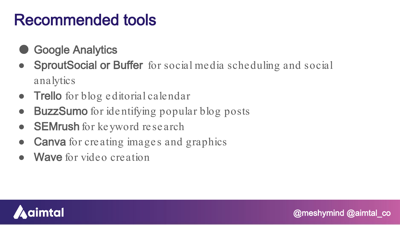### Recommended tools

- **Google Analytics**
- SproutSocial or Buffer for social media scheduling and social analytics

- **Trello** for blog editorial calendar
- BuzzSumo for identifying popular blog posts
- **SEMrush** for keyword research
- **Canva** for creating images and graphics
- Wave for video creation